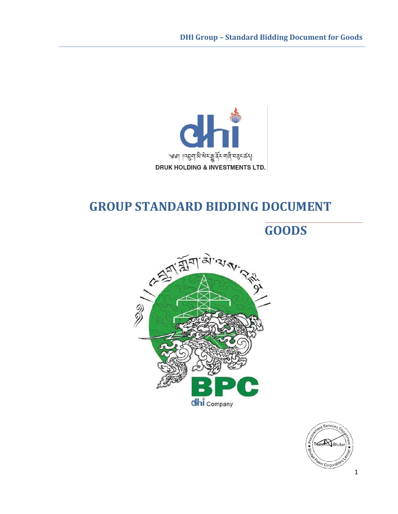

## **GROUP STANDARD BIDDING DOCUMENT**

## **GOODS**



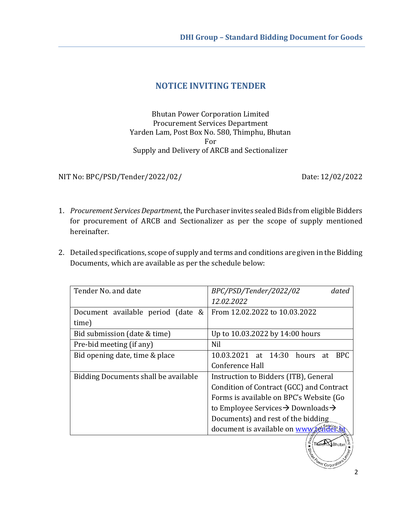## **NOTICE INVITING TENDER**

Bhutan Power Corporation Limited Procurement Services Department Yarden Lam, Post Box No. 580, Thimphu, Bhutan For Supply and Delivery of ARCB and Sectionalizer

NIT No: BPC/PSD/Tender/2022/02/ Date: 12/02/2022

- 1. *Procurement Services Department*, the Purchaser invites sealed Bids from eligible Bidders for procurement of ARCB and Sectionalizer as per the scope of supply mentioned hereinafter.
- 2. Detailed specifications, scope of supply and terms and conditions are given in the Bidding Documents, which are available as per the schedule below:

| Tender No. and date                  | BPC/PSD/Tender/2022/02<br>dated                            |  |
|--------------------------------------|------------------------------------------------------------|--|
|                                      | 12.02.2022                                                 |  |
| Document available period (date &    | From 12.02.2022 to 10.03.2022                              |  |
| time)                                |                                                            |  |
| Bid submission (date & time)         | Up to 10.03.2022 by 14:00 hours                            |  |
| Pre-bid meeting (if any)             | Nil                                                        |  |
| Bid opening date, time & place       | 10.03.2021 at 14:30<br>BPC.<br>hours<br>at                 |  |
|                                      | Conference Hall                                            |  |
| Bidding Documents shall be available | Instruction to Bidders (ITB), General                      |  |
|                                      | Condition of Contract (GCC) and Contract                   |  |
|                                      | Forms is available on BPC's Website (Go                    |  |
|                                      | to Employee Services $\rightarrow$ Downloads $\rightarrow$ |  |
|                                      | Documents) and rest of the bidding                         |  |
|                                      | document is available on www.tender.                       |  |